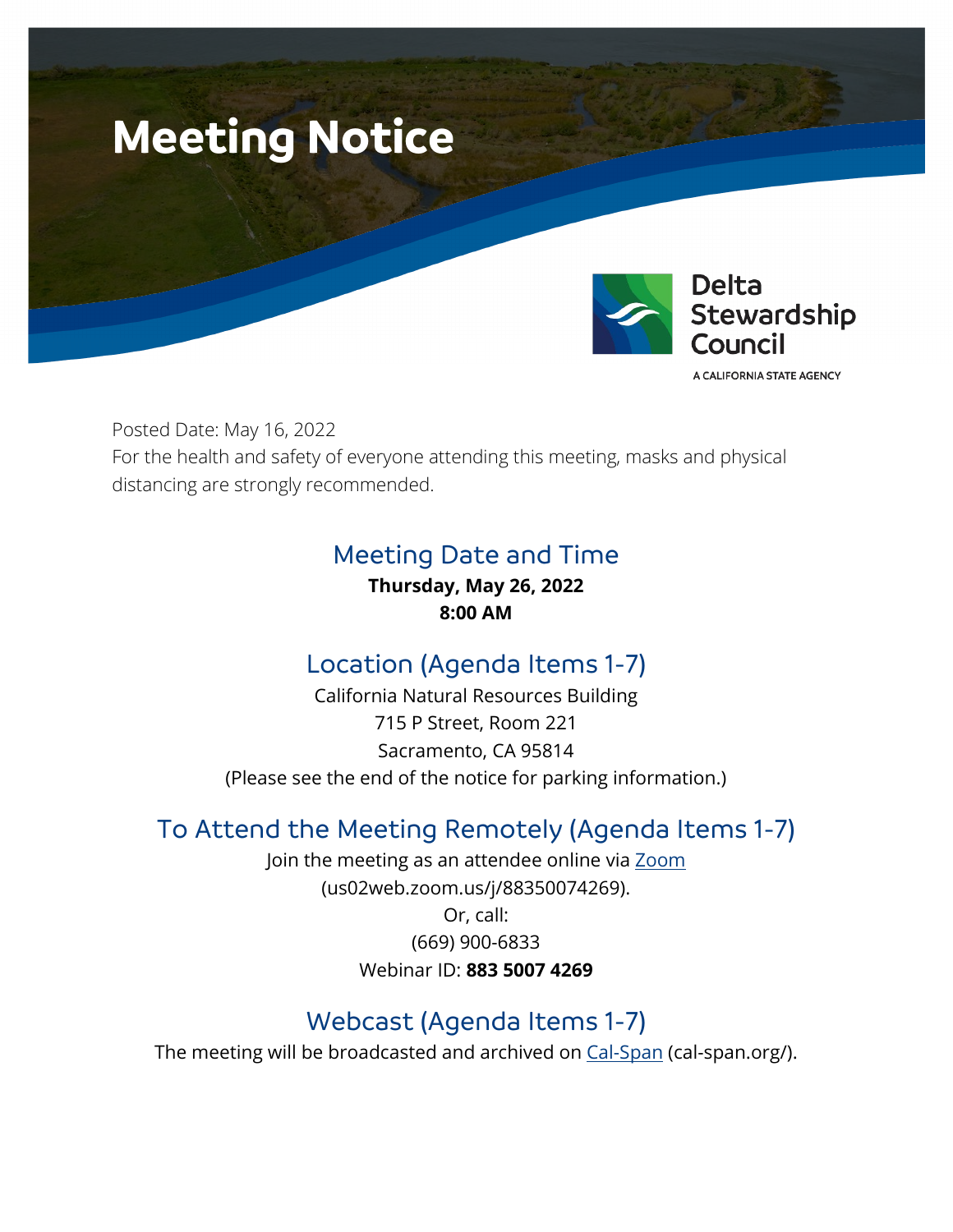

Posted Date: May 16, 2022 For the health and safety of everyone attending this meeting, masks and physical distancing are strongly recommended.

## Meeting Date and Time

**Thursday, May 26, 2022 8:00 AM**

# Location (Agenda Items 1-7)

California Natural Resources Building 715 P Street, Room 221 Sacramento, CA 95814 (Please see the end of the notice for parking information.)

## To Attend the Meeting Remotely (Agenda Items 1-7)

Join the meeting as an attendee online via [Zoom](https://us02web.zoom.us/j/88350074269) (us02web.zoom.us/j/88350074269). Or, call: (669) 900-6833

Webinar ID: **883 5007 4269**

# Webcast (Agenda Items 1-7)

The meeting will be broadcasted and archived on [Cal-Span](https://deltacouncil.sharepoint.com/sites/DSC-CouncilMeetingStaffReports2/Shared%20Documents/General/Council%20Meeting%20Materials/2022/5-26/6.%20Legal/cal-span.org/) (cal-span.org/).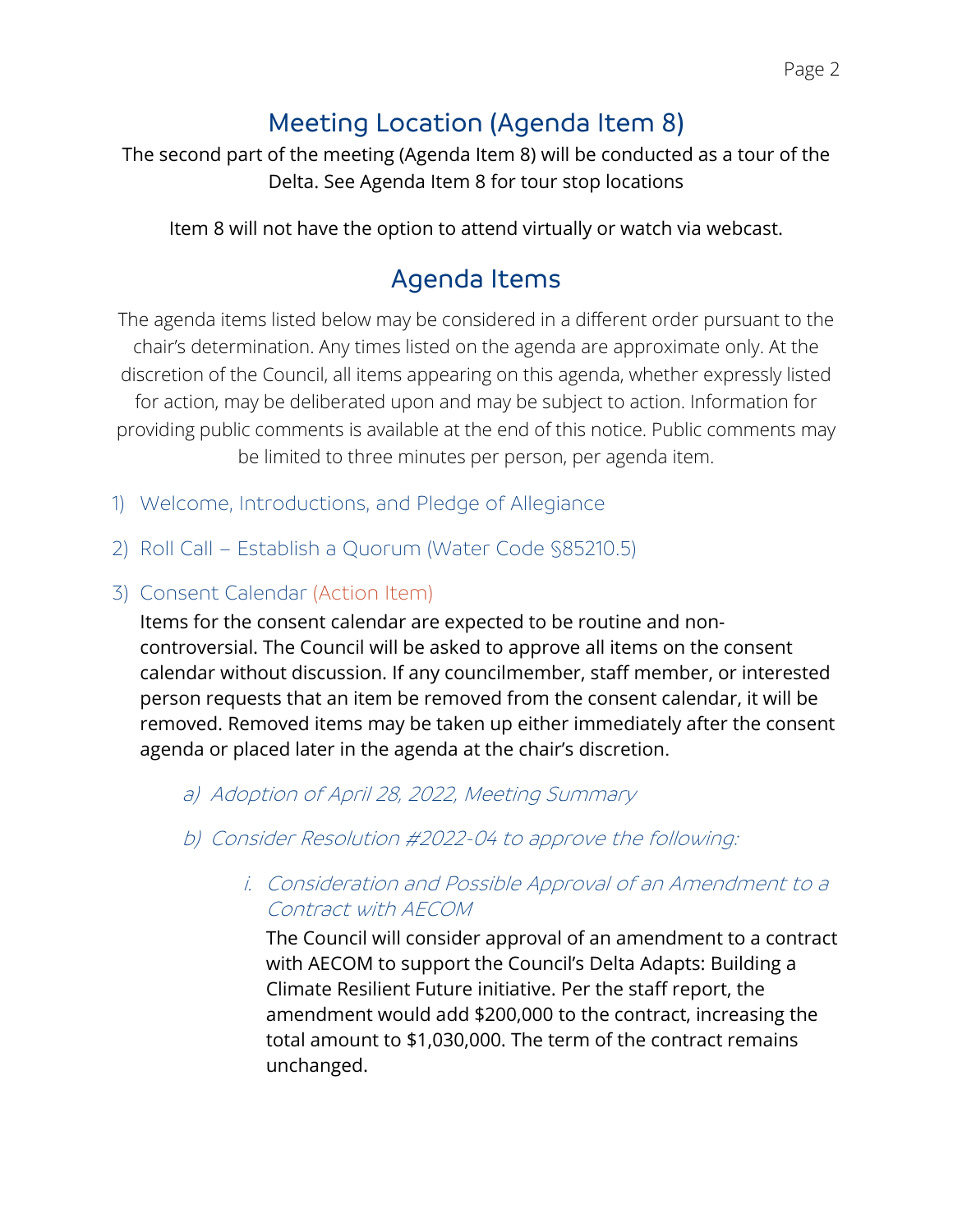# Meeting Location (Agenda Item 8)

The second part of the meeting (Agenda Item 8) will be conducted as a tour of the Delta. See Agenda Item 8 for tour stop locations

Item 8 will not have the option to attend virtually or watch via webcast.

## Agenda Items

The agenda items listed below may be considered in a different order pursuant to the chair's determination. Any times listed on the agenda are approximate only. At the discretion of the Council, all items appearing on this agenda, whether expressly listed for action, may be deliberated upon and may be subject to action. Information for providing public comments is available at the end of this notice. Public comments may be limited to three minutes per person, per agenda item.

- 1) Welcome, Introductions, and Pledge of Allegiance
- 2) Roll Call Establish a Quorum (Water Code §85210.5)

#### 3) Consent Calendar (Action Item)

Items for the consent calendar are expected to be routine and noncontroversial. The Council will be asked to approve all items on the consent calendar without discussion. If any councilmember, staff member, or interested person requests that an item be removed from the consent calendar, it will be removed. Removed items may be taken up either immediately after the consent agenda or placed later in the agenda at the chair's discretion.

#### a) Adoption of April 28, 2022, Meeting Summary

b) Consider Resolution #2022-04 to approve the following:

### i. Consideration and Possible Approval of an Amendment to a Contract with AECOM

The Council will consider approval of an amendment to a contract with AECOM to support the Council's Delta Adapts: Building a Climate Resilient Future initiative. Per the staff report, the amendment would add \$200,000 to the contract, increasing the total amount to \$1,030,000. The term of the contract remains unchanged.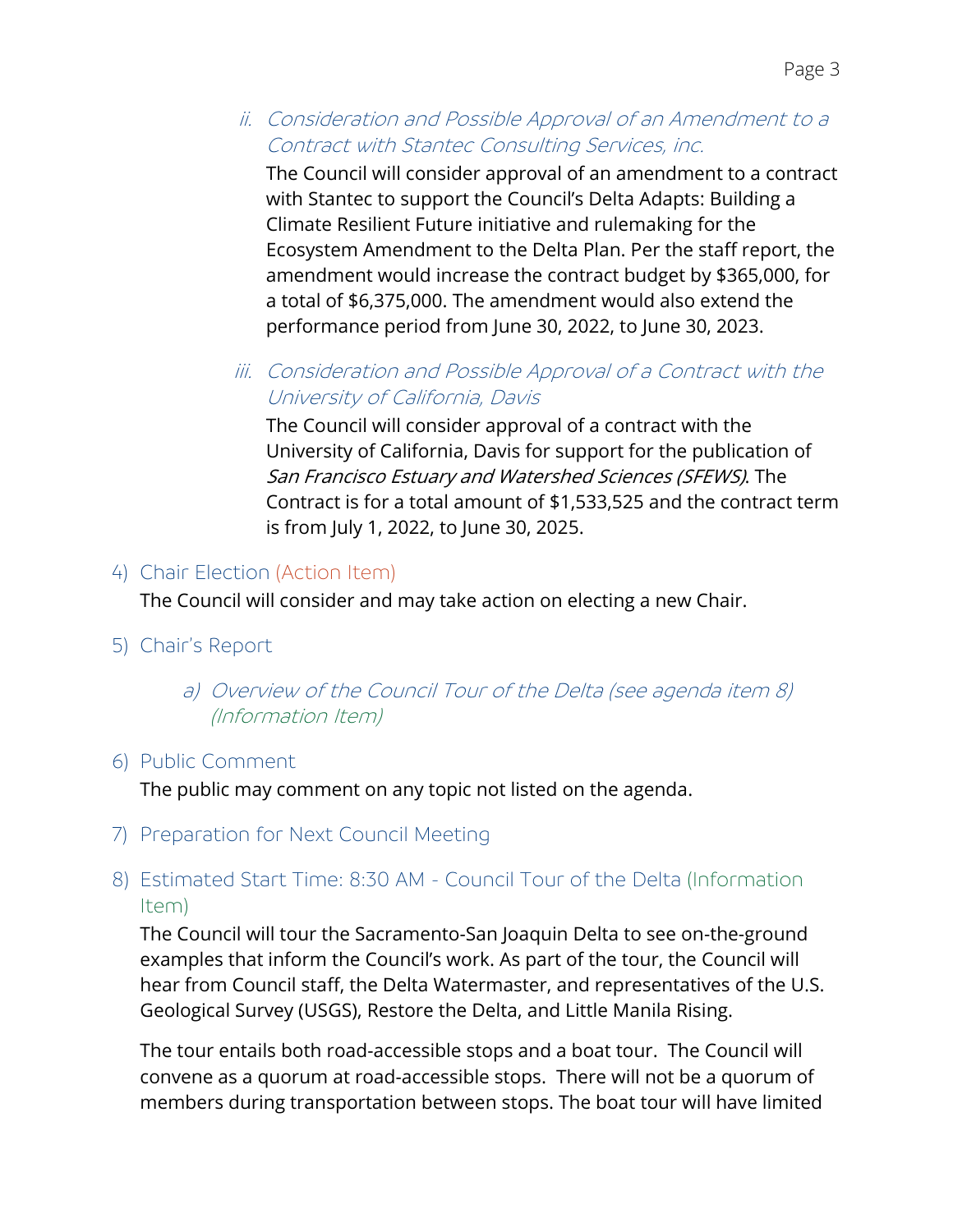### ii. Consideration and Possible Approval of an Amendment to a Contract with Stantec Consulting Services, inc.

The Council will consider approval of an amendment to a contract with Stantec to support the Council's Delta Adapts: Building a Climate Resilient Future initiative and rulemaking for the Ecosystem Amendment to the Delta Plan. Per the staff report, the amendment would increase the contract budget by \$365,000, for a total of \$6,375,000. The amendment would also extend the performance period from June 30, 2022, to June 30, 2023.

### iii. Consideration and Possible Approval of a Contract with the University of California, Davis

The Council will consider approval of a contract with the University of California, Davis for support for the publication of San Francisco Estuary and Watershed Sciences (SFEWS). The Contract is for a total amount of \$1,533,525 and the contract term is from July 1, 2022, to June 30, 2025.

### 4) Chair Election (Action Item)

The Council will consider and may take action on electing a new Chair.

5) Chair's Report

### a) Overview of the Council Tour of the Delta (see agenda item 8) (Information Item)

### 6) Public Comment

The public may comment on any topic not listed on the agenda.

7) Preparation for Next Council Meeting

### 8) Estimated Start Time: 8:30 AM - Council Tour of the Delta (Information Item)

The Council will tour the Sacramento-San Joaquin Delta to see on-the-ground examples that inform the Council's work. As part of the tour, the Council will hear from Council staff, the Delta Watermaster, and representatives of the U.S. Geological Survey (USGS), Restore the Delta, and Little Manila Rising.

The tour entails both road-accessible stops and a boat tour. The Council will convene as a quorum at road-accessible stops. There will not be a quorum of members during transportation between stops. The boat tour will have limited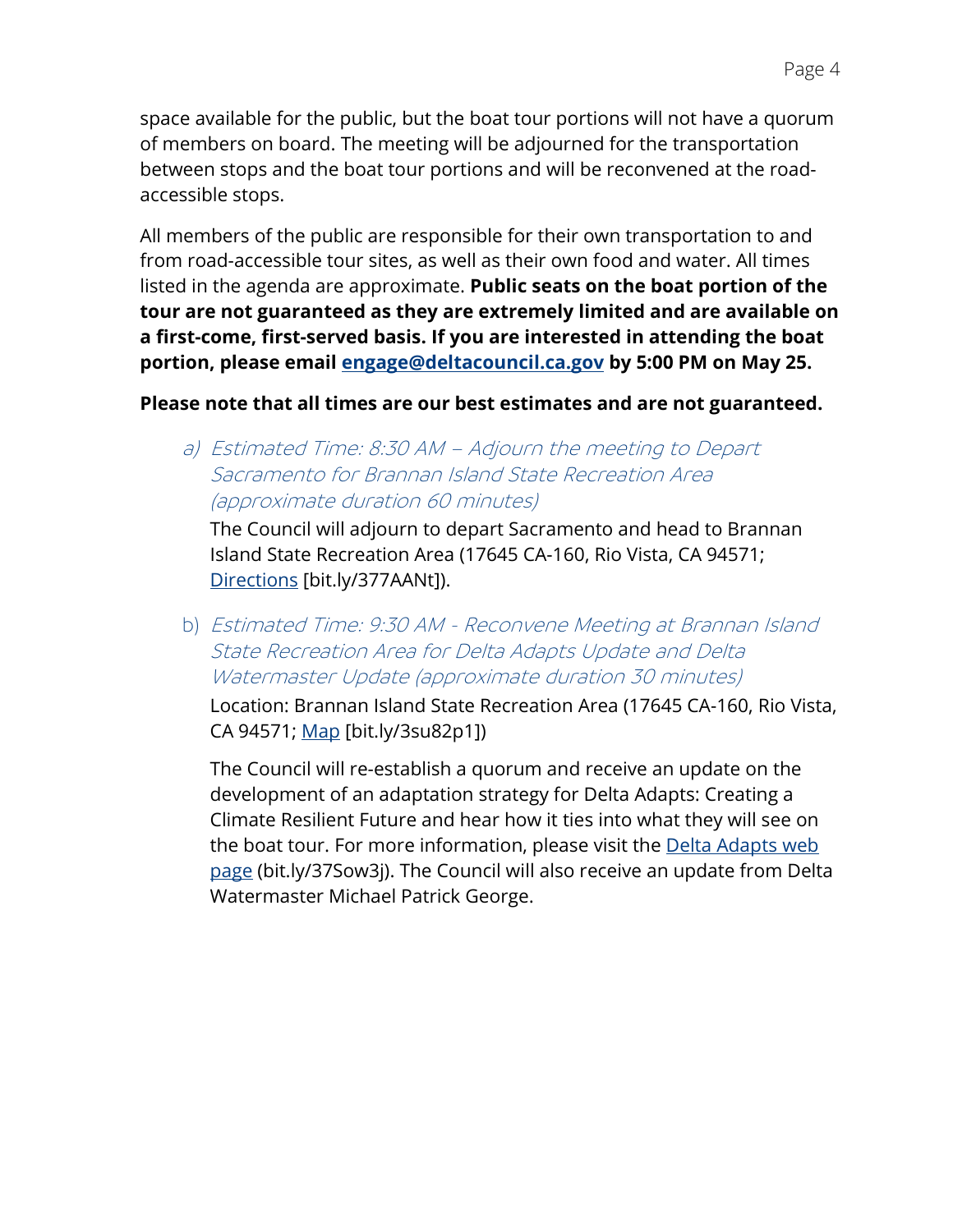space available for the public, but the boat tour portions will not have a quorum of members on board. The meeting will be adjourned for the transportation between stops and the boat tour portions and will be reconvened at the roadaccessible stops.

All members of the public are responsible for their own transportation to and from road-accessible tour sites, as well as their own food and water. All times listed in the agenda are approximate. **Public seats on the boat portion of the tour are not guaranteed as they are extremely limited and are available on a first-come, first-served basis. If you are interested in attending the boat portion, please email [engage@deltacouncil.ca.gov](mailto:engage@deltacouncil.ca.gov) by 5:00 PM on May 25.**

#### **Please note that all times are our best estimates and are not guaranteed.**

a) Estimated Time: 8:30 AM – Adjourn the meeting to Depart Sacramento for Brannan Island State Recreation Area (approximate duration 60 minutes)

The Council will adjourn to depart Sacramento and head to Brannan Island State Recreation Area (17645 CA-160, Rio Vista, CA 94571; [Directions](https://bit.ly/377AANt) [bit.ly/377AANt]).

b) Estimated Time: 9:30 AM - Reconvene Meeting at Brannan Island State Recreation Area for Delta Adapts Update and Delta Watermaster Update (approximate duration 30 minutes)

Location: Brannan Island State Recreation Area (17645 CA-160, Rio Vista, CA 94571; [Map](https://bit.ly/3su82p1) [bit.ly/3su82p1])

The Council will re-establish a quorum and receive an update on the development of an adaptation strategy for Delta Adapts: Creating a Climate Resilient Future and hear how it ties into what they will see on the boat tour. For more information, please visit the [Delta Adapts](https://bit.ly/37Sow3j) web [page](https://bit.ly/37Sow3j) (bit.ly/37Sow3j). The Council will also receive an update from Delta Watermaster Michael Patrick George.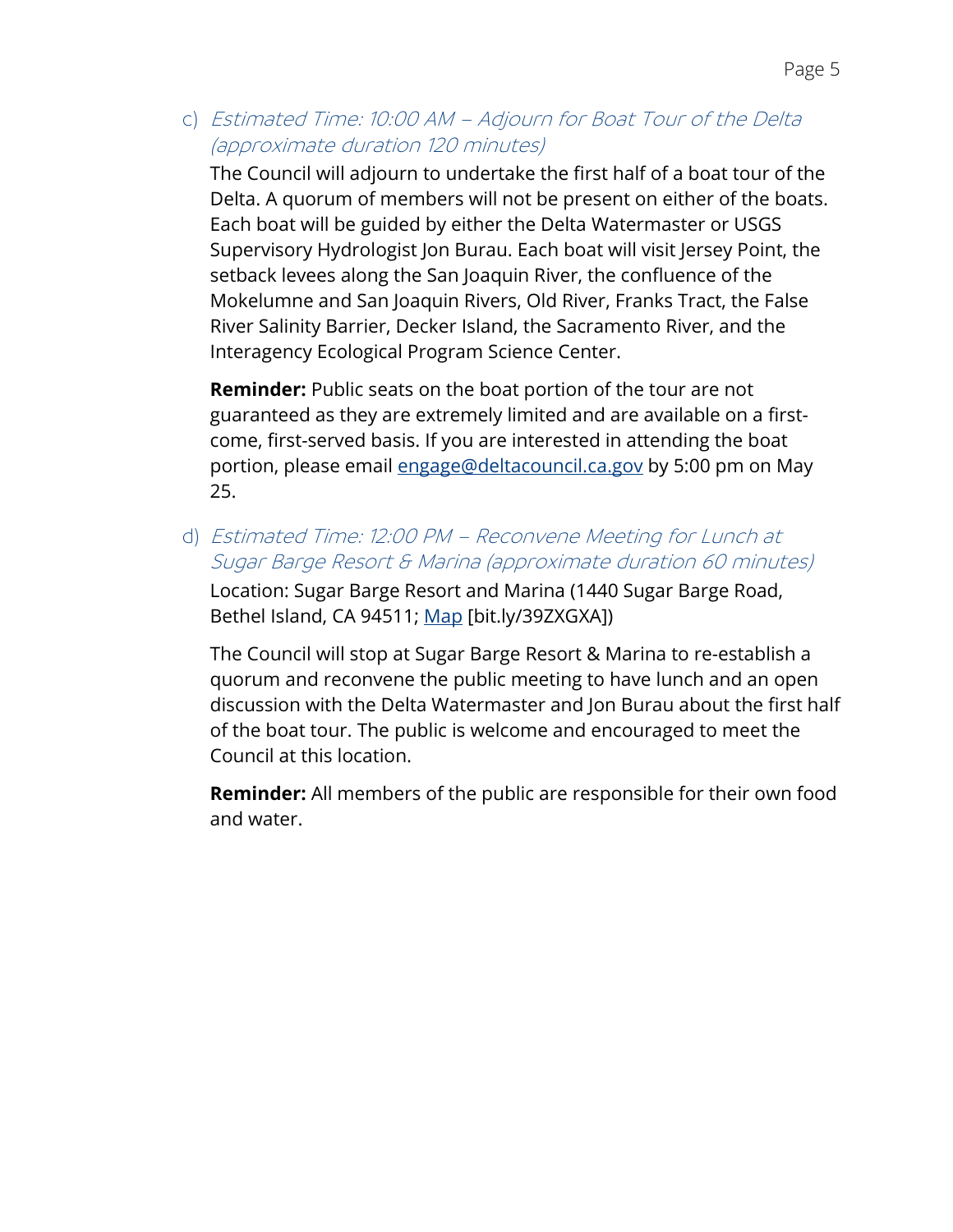c) Estimated Time: 10:00 AM – Adjourn for Boat Tour of the Delta (approximate duration 120 minutes)

The Council will adjourn to undertake the first half of a boat tour of the Delta. A quorum of members will not be present on either of the boats. Each boat will be guided by either the Delta Watermaster or USGS Supervisory Hydrologist Jon Burau. Each boat will visit Jersey Point, the setback levees along the San Joaquin River, the confluence of the Mokelumne and San Joaquin Rivers, Old River, Franks Tract, the False River Salinity Barrier, Decker Island, the Sacramento River, and the Interagency Ecological Program Science Center.

**Reminder:** Public seats on the boat portion of the tour are not guaranteed as they are extremely limited and are available on a firstcome, first-served basis. If you are interested in attending the boat portion, please email [engage@deltacouncil.ca.gov](mailto:engage@deltacouncil.ca.gov) by 5:00 pm on May 25.

d) Estimated Time: 12:00 PM – Reconvene Meeting for Lunch at Sugar Barge Resort & Marina (approximate duration 60 minutes) Location: Sugar Barge Resort and Marina (1440 Sugar Barge Road, Bethel Island, CA 94511; [Map](https://bit.ly/39ZXGXA) [bit.ly/39ZXGXA])

The Council will stop at Sugar Barge Resort & Marina to re-establish a quorum and reconvene the public meeting to have lunch and an open discussion with the Delta Watermaster and Jon Burau about the first half of the boat tour. The public is welcome and encouraged to meet the Council at this location.

**Reminder:** All members of the public are responsible for their own food and water.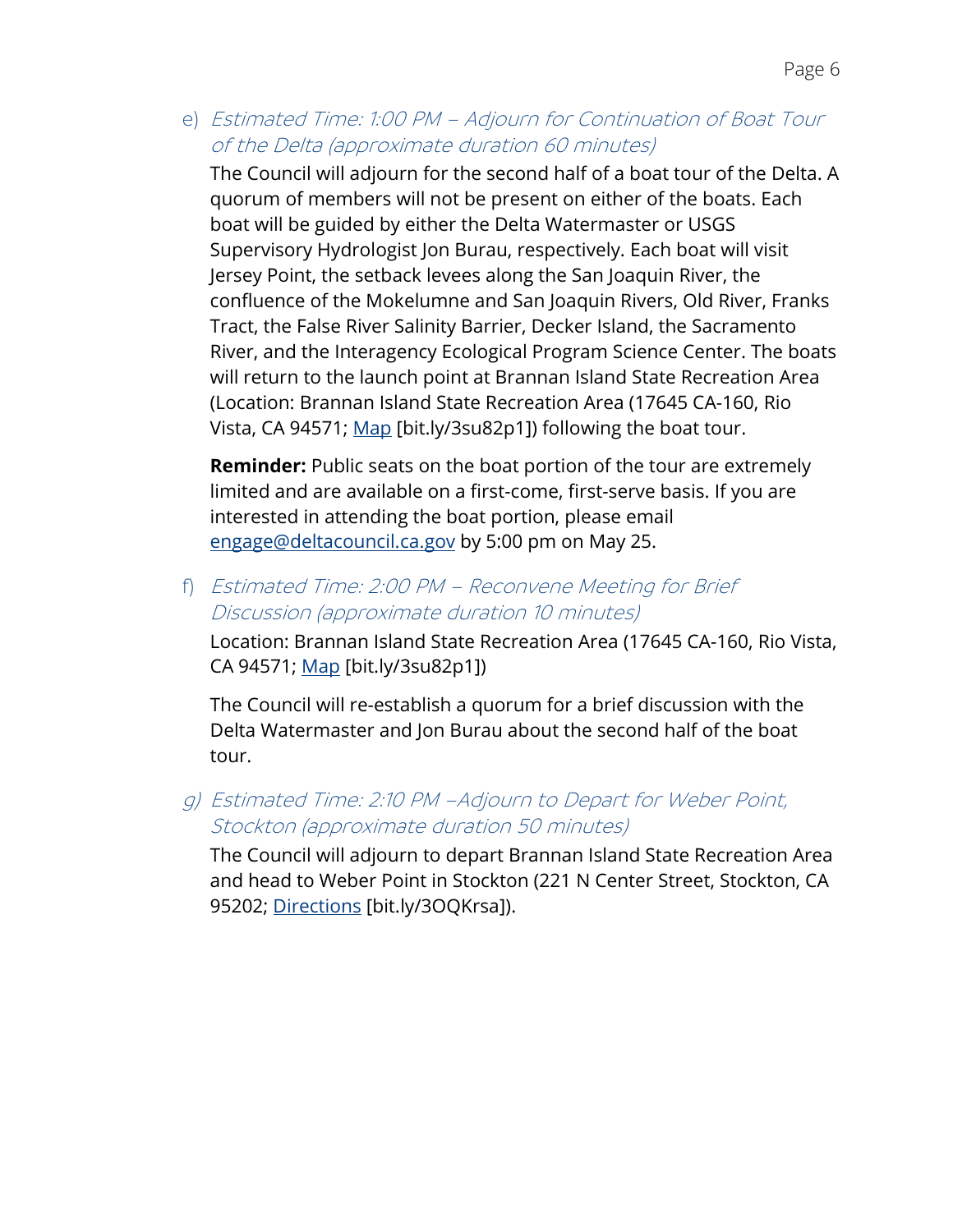e) Estimated Time: 1:00 PM – Adjourn for Continuation of Boat Tour of the Delta (approximate duration 60 minutes)

The Council will adjourn for the second half of a boat tour of the Delta. A quorum of members will not be present on either of the boats. Each boat will be guided by either the Delta Watermaster or USGS Supervisory Hydrologist Jon Burau, respectively. Each boat will visit Jersey Point, the setback levees along the San Joaquin River, the confluence of the Mokelumne and San Joaquin Rivers, Old River, Franks Tract, the False River Salinity Barrier, Decker Island, the Sacramento River, and the Interagency Ecological Program Science Center. The boats will return to the launch point at Brannan Island State Recreation Area (Location: Brannan Island State Recreation Area (17645 CA-160, Rio Vista, CA 94571; [Map](https://bit.ly/3su82p1) [bit.ly/3su82p1]) following the boat tour.

**Reminder:** Public seats on the boat portion of the tour are extremely limited and are available on a first-come, first-serve basis. If you are interested in attending the boat portion, please email [engage@deltacouncil.ca.gov](mailto:engage@deltacouncil.ca.gov) by 5:00 pm on May 25.

f) Estimated Time: 2:00 PM – Reconvene Meeting for Brief Discussion (approximate duration 10 minutes)

Location: Brannan Island State Recreation Area (17645 CA-160, Rio Vista, CA 94571; [Map](https://bit.ly/3su82p1) [bit.ly/3su82p1])

The Council will re-establish a quorum for a brief discussion with the Delta Watermaster and Jon Burau about the second half of the boat tour.

g) Estimated Time: 2:10 PM –Adjourn to Depart for Weber Point, Stockton (approximate duration 50 minutes)

The Council will adjourn to depart Brannan Island State Recreation Area and head to Weber Point in Stockton (221 N Center Street, Stockton, CA 95202; [Directions](https://bit.ly/3OQKrsa) [bit.ly/3OQKrsa]).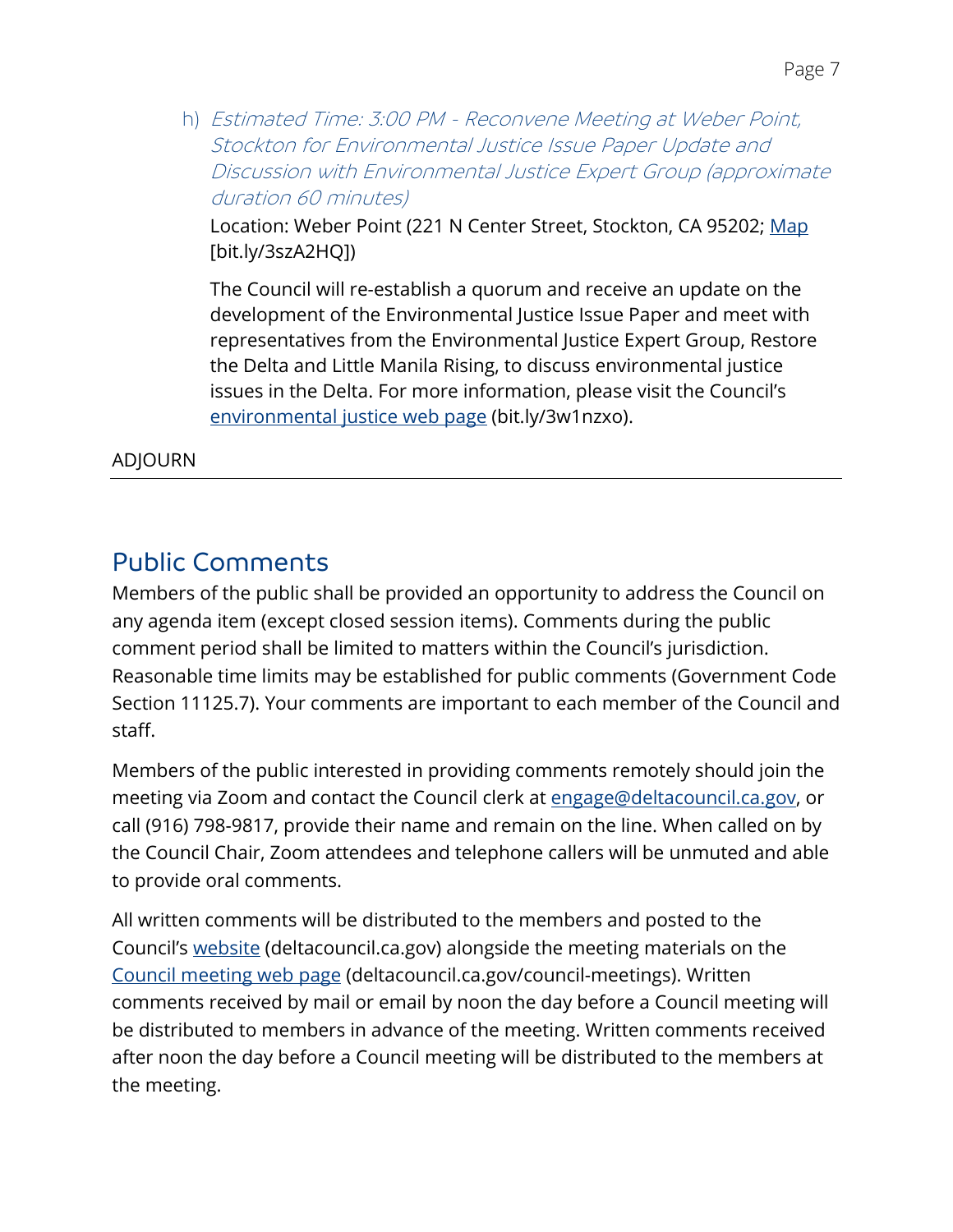h) Estimated Time: 3:00 PM - Reconvene Meeting at Weber Point, Stockton for Environmental Justice Issue Paper Update and Discussion with Environmental Justice Expert Group (approximate duration 60 minutes)

Location: Weber Point (221 N Center Street, Stockton, CA 95202; [Map](https://bit.ly/3szA2HQ) [bit.ly/3szA2HQ])

The Council will re-establish a quorum and receive an update on the development of the Environmental Justice Issue Paper and meet with representatives from the Environmental Justice Expert Group, Restore the Delta and Little Manila Rising, to discuss environmental justice issues in the Delta. For more information, please visit the Council's [environmental justice](https://bit.ly/3w1nzxo) web page (bit.ly/3w1nzxo).

#### ADJOURN

### Public Comments

Members of the public shall be provided an opportunity to address the Council on any agenda item (except closed session items). Comments during the public comment period shall be limited to matters within the Council's jurisdiction. Reasonable time limits may be established for public comments (Government Code Section 11125.7). Your comments are important to each member of the Council and staff.

Members of the public interested in providing comments remotely should join the meeting via Zoom and contact the Council clerk at [engage@deltacouncil.ca.gov,](mailto:engage@deltacouncil.ca.gov) or call (916) 798-9817, provide their name and remain on the line. When called on by the Council Chair, Zoom attendees and telephone callers will be unmuted and able to provide oral comments.

All written comments will be distributed to the members and posted to the Council's [website](https://deltacouncil.sharepoint.com/sites/DSC-CouncilMeetingStaffReports2/Shared%20Documents/General/Council%20Meeting%20Materials/2022/5-26/3.%20AD/deltacouncil.ca.gov) (deltacouncil.ca.gov) alongside the meeting materials on the [Council meeting](https://deltacouncil.ca.gov/council-meetings) web page (deltacouncil.ca.gov/council-meetings). Written comments received by mail or email by noon the day before a Council meeting will be distributed to members in advance of the meeting. Written comments received after noon the day before a Council meeting will be distributed to the members at the meeting.